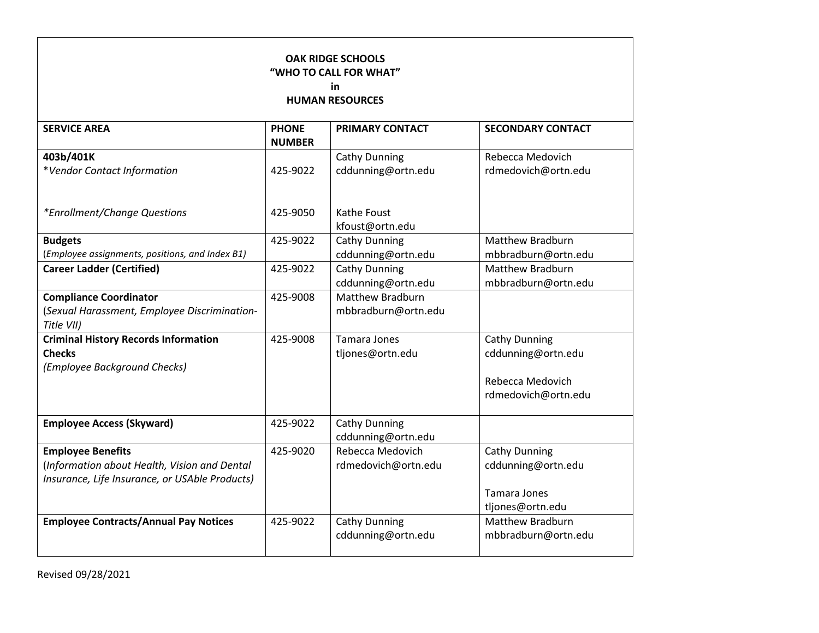| <b>OAK RIDGE SCHOOLS</b><br>"WHO TO CALL FOR WHAT"<br>in<br><b>HUMAN RESOURCES</b>                                         |                               |                                                |                                                                                       |  |  |  |
|----------------------------------------------------------------------------------------------------------------------------|-------------------------------|------------------------------------------------|---------------------------------------------------------------------------------------|--|--|--|
| <b>SERVICE AREA</b>                                                                                                        | <b>PHONE</b><br><b>NUMBER</b> | <b>PRIMARY CONTACT</b>                         | <b>SECONDARY CONTACT</b>                                                              |  |  |  |
| 403b/401K<br>*Vendor Contact Information                                                                                   | 425-9022                      | <b>Cathy Dunning</b><br>cddunning@ortn.edu     | Rebecca Medovich<br>rdmedovich@ortn.edu                                               |  |  |  |
| *Enrollment/Change Questions                                                                                               | 425-9050                      | <b>Kathe Foust</b><br>kfoust@ortn.edu          |                                                                                       |  |  |  |
| <b>Budgets</b><br>(Employee assignments, positions, and Index B1)                                                          | 425-9022                      | <b>Cathy Dunning</b><br>cddunning@ortn.edu     | <b>Matthew Bradburn</b><br>mbbradburn@ortn.edu                                        |  |  |  |
| <b>Career Ladder (Certified)</b>                                                                                           | 425-9022                      | <b>Cathy Dunning</b><br>cddunning@ortn.edu     | Matthew Bradburn<br>mbbradburn@ortn.edu                                               |  |  |  |
| <b>Compliance Coordinator</b><br>(Sexual Harassment, Employee Discrimination-<br>Title VII)                                | 425-9008                      | <b>Matthew Bradburn</b><br>mbbradburn@ortn.edu |                                                                                       |  |  |  |
| <b>Criminal History Records Information</b><br><b>Checks</b><br>(Employee Background Checks)                               | 425-9008                      | <b>Tamara Jones</b><br>tljones@ortn.edu        | <b>Cathy Dunning</b><br>cddunning@ortn.edu<br>Rebecca Medovich<br>rdmedovich@ortn.edu |  |  |  |
| <b>Employee Access (Skyward)</b>                                                                                           | 425-9022                      | <b>Cathy Dunning</b><br>cddunning@ortn.edu     |                                                                                       |  |  |  |
| <b>Employee Benefits</b><br>(Information about Health, Vision and Dental<br>Insurance, Life Insurance, or USAble Products) | 425-9020                      | Rebecca Medovich<br>rdmedovich@ortn.edu        | Cathy Dunning<br>cddunning@ortn.edu<br>Tamara Jones<br>tljones@ortn.edu               |  |  |  |
| <b>Employee Contracts/Annual Pay Notices</b>                                                                               | 425-9022                      | <b>Cathy Dunning</b><br>cddunning@ortn.edu     | Matthew Bradburn<br>mbbradburn@ortn.edu                                               |  |  |  |

Revised 09/28/2021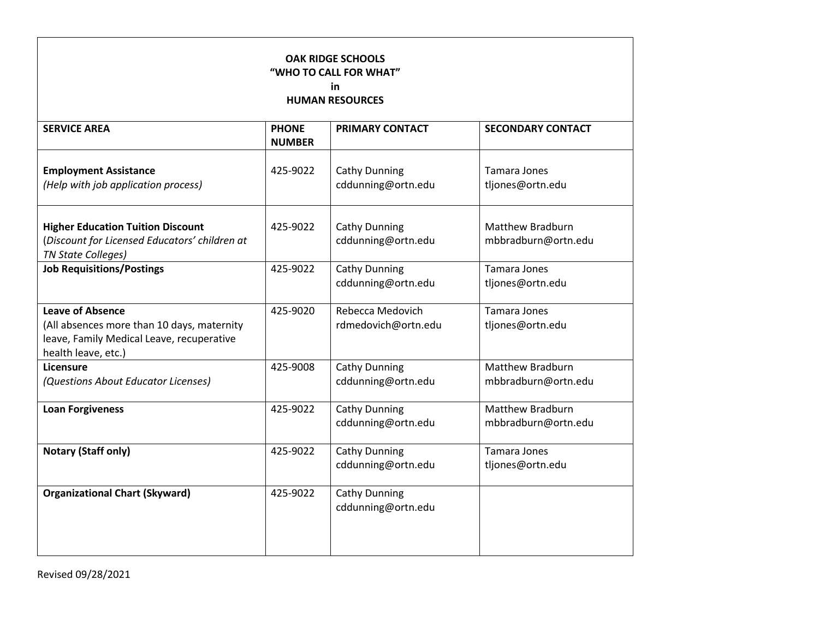| <b>OAK RIDGE SCHOOLS</b><br>"WHO TO CALL FOR WHAT"<br>in<br><b>HUMAN RESOURCES</b>                                                        |                               |                                            |                                                |  |  |  |
|-------------------------------------------------------------------------------------------------------------------------------------------|-------------------------------|--------------------------------------------|------------------------------------------------|--|--|--|
| <b>SERVICE AREA</b>                                                                                                                       | <b>PHONE</b><br><b>NUMBER</b> | <b>PRIMARY CONTACT</b>                     | <b>SECONDARY CONTACT</b>                       |  |  |  |
| <b>Employment Assistance</b><br>(Help with job application process)                                                                       | 425-9022                      | <b>Cathy Dunning</b><br>cddunning@ortn.edu | Tamara Jones<br>tljones@ortn.edu               |  |  |  |
| <b>Higher Education Tuition Discount</b><br>(Discount for Licensed Educators' children at<br><b>TN State Colleges)</b>                    | 425-9022                      | <b>Cathy Dunning</b><br>cddunning@ortn.edu | <b>Matthew Bradburn</b><br>mbbradburn@ortn.edu |  |  |  |
| <b>Job Requisitions/Postings</b>                                                                                                          | 425-9022                      | <b>Cathy Dunning</b><br>cddunning@ortn.edu | <b>Tamara Jones</b><br>tljones@ortn.edu        |  |  |  |
| <b>Leave of Absence</b><br>(All absences more than 10 days, maternity<br>leave, Family Medical Leave, recuperative<br>health leave, etc.) | 425-9020                      | Rebecca Medovich<br>rdmedovich@ortn.edu    | <b>Tamara Jones</b><br>tljones@ortn.edu        |  |  |  |
| Licensure<br>(Questions About Educator Licenses)                                                                                          | 425-9008                      | <b>Cathy Dunning</b><br>cddunning@ortn.edu | <b>Matthew Bradburn</b><br>mbbradburn@ortn.edu |  |  |  |
| <b>Loan Forgiveness</b>                                                                                                                   | 425-9022                      | <b>Cathy Dunning</b><br>cddunning@ortn.edu | <b>Matthew Bradburn</b><br>mbbradburn@ortn.edu |  |  |  |
| <b>Notary (Staff only)</b>                                                                                                                | 425-9022                      | <b>Cathy Dunning</b><br>cddunning@ortn.edu | Tamara Jones<br>tljones@ortn.edu               |  |  |  |
| <b>Organizational Chart (Skyward)</b>                                                                                                     | 425-9022                      | Cathy Dunning<br>cddunning@ortn.edu        |                                                |  |  |  |

Revised 09/28/2021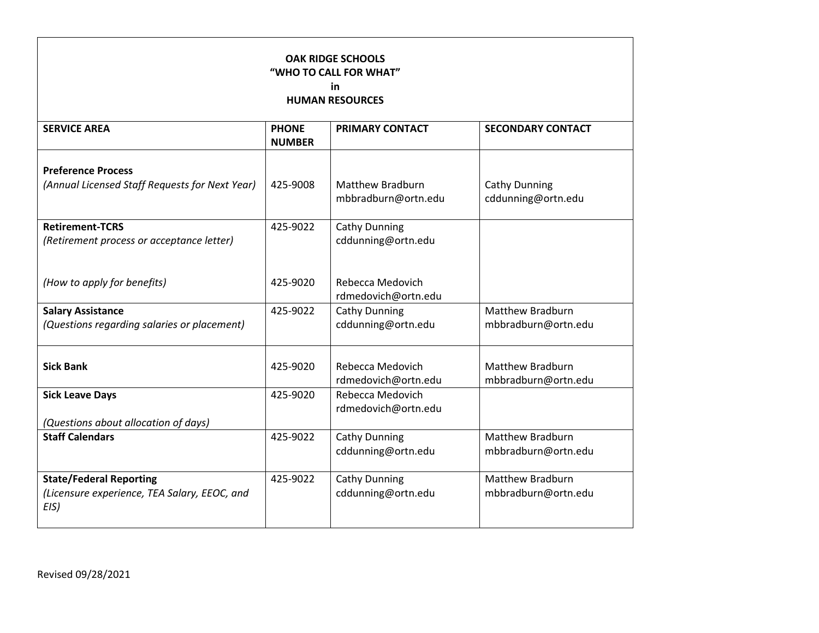| <b>OAK RIDGE SCHOOLS</b><br>"WHO TO CALL FOR WHAT"<br>in<br><b>HUMAN RESOURCES</b>     |                               |                                                |                                                |  |  |  |
|----------------------------------------------------------------------------------------|-------------------------------|------------------------------------------------|------------------------------------------------|--|--|--|
| <b>SERVICE AREA</b>                                                                    | <b>PHONE</b><br><b>NUMBER</b> | <b>PRIMARY CONTACT</b>                         | <b>SECONDARY CONTACT</b>                       |  |  |  |
| <b>Preference Process</b><br>(Annual Licensed Staff Requests for Next Year)            | 425-9008                      | <b>Matthew Bradburn</b><br>mbbradburn@ortn.edu | <b>Cathy Dunning</b><br>cddunning@ortn.edu     |  |  |  |
| <b>Retirement-TCRS</b><br>(Retirement process or acceptance letter)                    | 425-9022                      | Cathy Dunning<br>cddunning@ortn.edu            |                                                |  |  |  |
| (How to apply for benefits)                                                            | 425-9020                      | Rebecca Medovich<br>rdmedovich@ortn.edu        |                                                |  |  |  |
| <b>Salary Assistance</b><br>(Questions regarding salaries or placement)                | 425-9022                      | <b>Cathy Dunning</b><br>cddunning@ortn.edu     | <b>Matthew Bradburn</b><br>mbbradburn@ortn.edu |  |  |  |
| <b>Sick Bank</b>                                                                       | 425-9020                      | Rebecca Medovich<br>rdmedovich@ortn.edu        | <b>Matthew Bradburn</b><br>mbbradburn@ortn.edu |  |  |  |
| <b>Sick Leave Days</b><br>(Questions about allocation of days)                         | 425-9020                      | Rebecca Medovich<br>rdmedovich@ortn.edu        |                                                |  |  |  |
| <b>Staff Calendars</b>                                                                 | 425-9022                      | <b>Cathy Dunning</b><br>cddunning@ortn.edu     | <b>Matthew Bradburn</b><br>mbbradburn@ortn.edu |  |  |  |
| <b>State/Federal Reporting</b><br>(Licensure experience, TEA Salary, EEOC, and<br>EIS) | 425-9022                      | <b>Cathy Dunning</b><br>cddunning@ortn.edu     | <b>Matthew Bradburn</b><br>mbbradburn@ortn.edu |  |  |  |